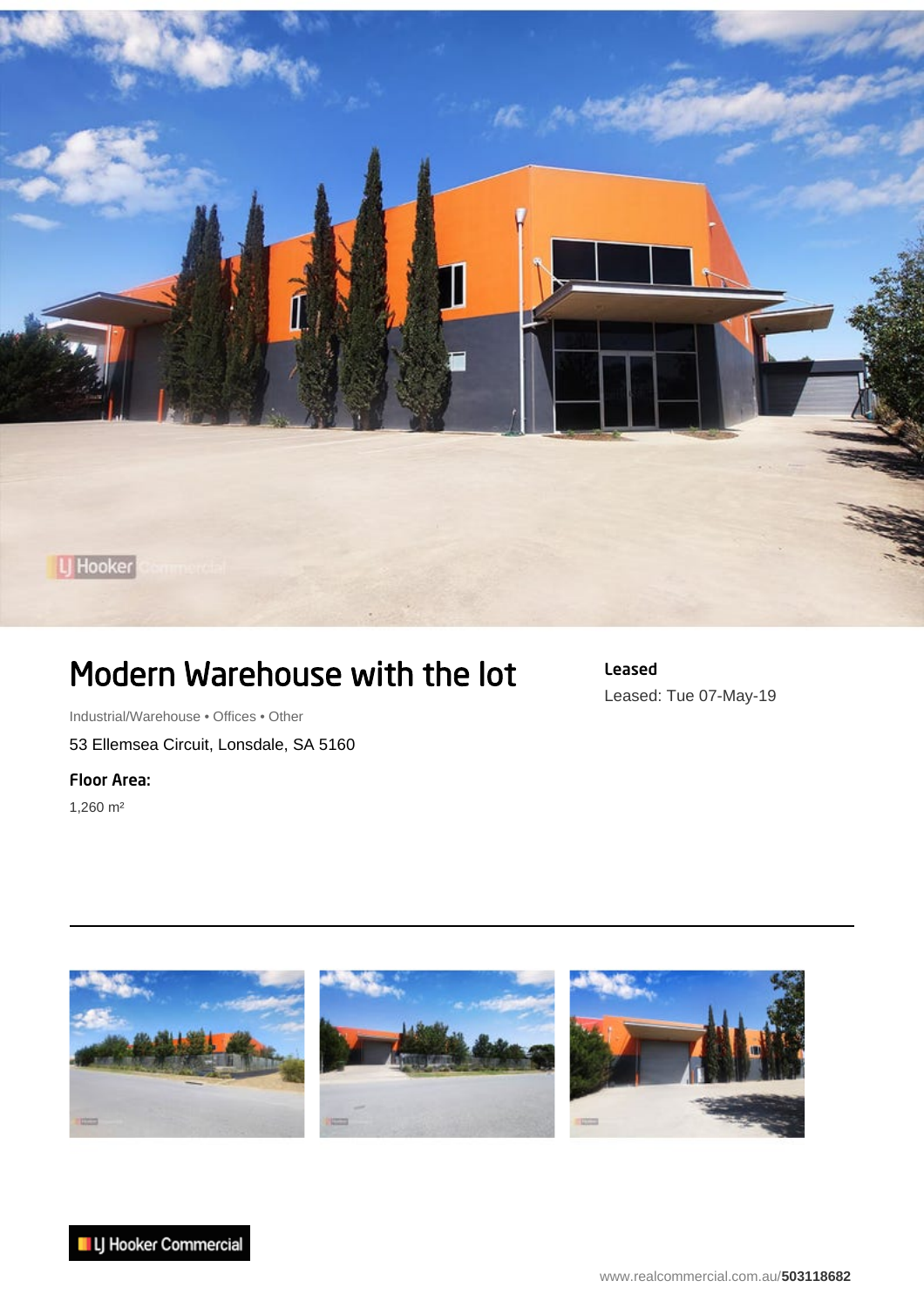

## Modern Warehouse with the lot

Industrial/Warehouse • Offices • Other 53 Ellemsea Circuit, Lonsdale, SA 5160

Floor Area:

1,260 m²

Leased Leased: Tue 07-May-19